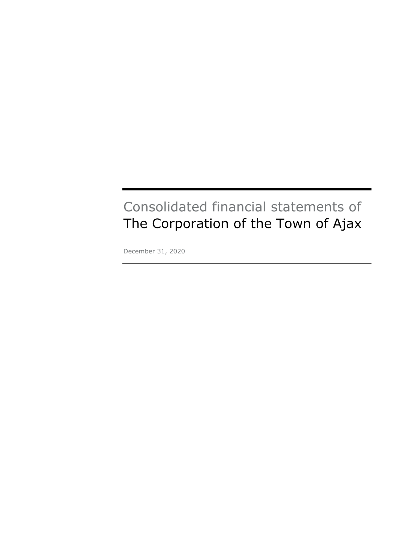# Consolidated financial statements of The Corporation of the Town of Ajax

December 31, 2020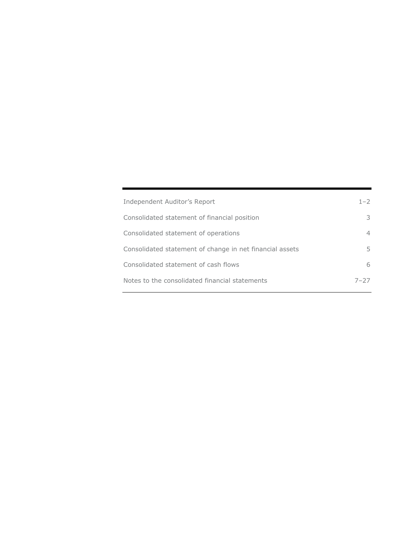| Independent Auditor's Report                             | $1 - 2$ |
|----------------------------------------------------------|---------|
| Consolidated statement of financial position             | 3       |
| Consolidated statement of operations                     | 4       |
| Consolidated statement of change in net financial assets | 5.      |
| Consolidated statement of cash flows                     | 6       |
| Notes to the consolidated financial statements           | 7–27    |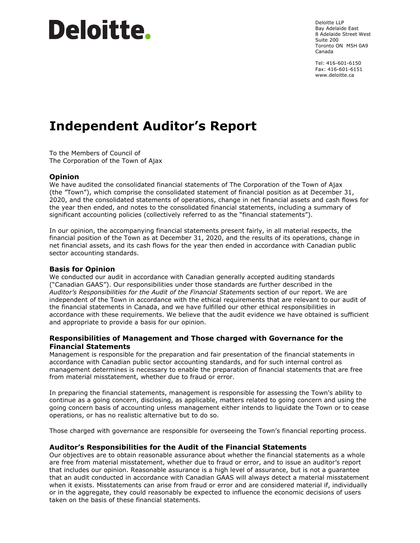# Deloitte.

Deloitte LLP Bay Adelaide East 8 Adelaide Street West Suite 200 Toronto ON M5H 0A9 Canada

Tel: 416-601-6150 Fax: 416-601-6151 www.deloitte.ca

# **Independent Auditor's Report**

To the Members of Council of The Corporation of the Town of Ajax

# **Opinion**

We have audited the consolidated financial statements of The Corporation of the Town of Ajax (the "Town"), which comprise the consolidated statement of financial position as at December 31, 2020, and the consolidated statements of operations, change in net financial assets and cash flows for the year then ended, and notes to the consolidated financial statements, including a summary of significant accounting policies (collectively referred to as the "financial statements").

In our opinion, the accompanying financial statements present fairly, in all material respects, the financial position of the Town as at December 31, 2020, and the results of its operations, change in net financial assets, and its cash flows for the year then ended in accordance with Canadian public sector accounting standards.

#### **Basis for Opinion**

We conducted our audit in accordance with Canadian generally accepted auditing standards ("Canadian GAAS"). Our responsibilities under those standards are further described in the *Auditor's Responsibilities for the Audit of the Financial Statements* section of our report. We are independent of the Town in accordance with the ethical requirements that are relevant to our audit of the financial statements in Canada, and we have fulfilled our other ethical responsibilities in accordance with these requirements. We believe that the audit evidence we have obtained is sufficient and appropriate to provide a basis for our opinion.

#### **Responsibilities of Management and Those charged with Governance for the Financial Statements**

Management is responsible for the preparation and fair presentation of the financial statements in accordance with Canadian public sector accounting standards, and for such internal control as management determines is necessary to enable the preparation of financial statements that are free from material misstatement, whether due to fraud or error.

In preparing the financial statements, management is responsible for assessing the Town's ability to continue as a going concern, disclosing, as applicable, matters related to going concern and using the going concern basis of accounting unless management either intends to liquidate the Town or to cease operations, or has no realistic alternative but to do so.

Those charged with governance are responsible for overseeing the Town's financial reporting process.

# **Auditor's Responsibilities for the Audit of the Financial Statements**

Our objectives are to obtain reasonable assurance about whether the financial statements as a whole are free from material misstatement, whether due to fraud or error, and to issue an auditor's report that includes our opinion. Reasonable assurance is a high level of assurance, but is not a guarantee that an audit conducted in accordance with Canadian GAAS will always detect a material misstatement when it exists. Misstatements can arise from fraud or error and are considered material if, individually or in the aggregate, they could reasonably be expected to influence the economic decisions of users taken on the basis of these financial statements.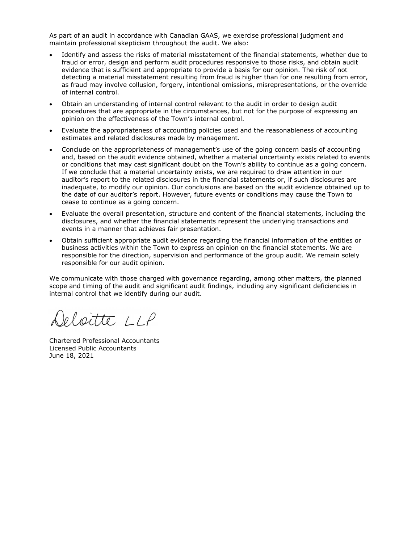As part of an audit in accordance with Canadian GAAS, we exercise professional judgment and maintain professional skepticism throughout the audit. We also:

- Identify and assess the risks of material misstatement of the financial statements, whether due to fraud or error, design and perform audit procedures responsive to those risks, and obtain audit evidence that is sufficient and appropriate to provide a basis for our opinion. The risk of not detecting a material misstatement resulting from fraud is higher than for one resulting from error, as fraud may involve collusion, forgery, intentional omissions, misrepresentations, or the override of internal control.
- Obtain an understanding of internal control relevant to the audit in order to design audit procedures that are appropriate in the circumstances, but not for the purpose of expressing an opinion on the effectiveness of the Town's internal control.
- Evaluate the appropriateness of accounting policies used and the reasonableness of accounting estimates and related disclosures made by management.
- Conclude on the appropriateness of management's use of the going concern basis of accounting and, based on the audit evidence obtained, whether a material uncertainty exists related to events or conditions that may cast significant doubt on the Town's ability to continue as a going concern. If we conclude that a material uncertainty exists, we are required to draw attention in our auditor's report to the related disclosures in the financial statements or, if such disclosures are inadequate, to modify our opinion. Our conclusions are based on the audit evidence obtained up to the date of our auditor's report. However, future events or conditions may cause the Town to cease to continue as a going concern.
- Evaluate the overall presentation, structure and content of the financial statements, including the disclosures, and whether the financial statements represent the underlying transactions and events in a manner that achieves fair presentation.
- Obtain sufficient appropriate audit evidence regarding the financial information of the entities or business activities within the Town to express an opinion on the financial statements. We are responsible for the direction, supervision and performance of the group audit. We remain solely responsible for our audit opinion.

We communicate with those charged with governance regarding, among other matters, the planned scope and timing of the audit and significant audit findings, including any significant deficiencies in internal control that we identify during our audit.

leloitte LLP

Chartered Professional Accountants Licensed Public Accountants June 18, 2021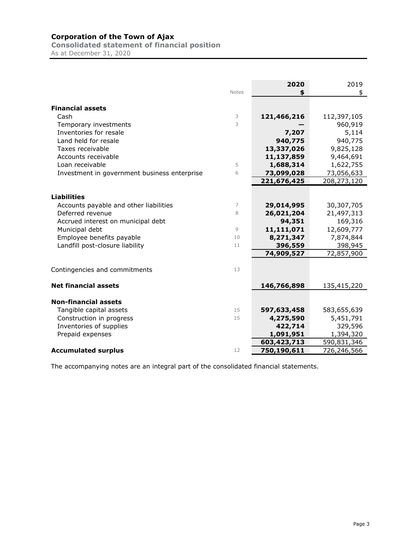**Consolidated statement of financial position**

As at December 31, 2020

|                                              |              | 2020        | 2019        |
|----------------------------------------------|--------------|-------------|-------------|
|                                              | <b>Notes</b> | \$          | \$          |
| <b>Financial assets</b>                      |              |             |             |
| Cash                                         | 3            | 121,466,216 | 112,397,105 |
| Temporary investments                        | 3            |             | 960,919     |
| Inventories for resale                       |              | 7,207       | 5,114       |
| Land held for resale                         |              | 940,775     | 940,775     |
| Taxes receivable                             |              | 13,337,026  | 9,825,128   |
| Accounts receivable                          |              | 11,137,859  | 9,464,691   |
| Loan receivable                              | 5            | 1,688,314   | 1,622,755   |
| Investment in government business enterprise | 6            | 73,099,028  | 73,056,633  |
|                                              |              | 221,676,425 | 208,273,120 |
|                                              |              |             |             |
| <b>Liabilities</b>                           |              |             |             |
| Accounts payable and other liabilities       | 7            | 29,014,995  | 30,307,705  |
| Deferred revenue                             | 8            | 26,021,204  | 21,497,313  |
| Accrued interest on municipal debt           |              | 94,351      | 169,316     |
| Municipal debt                               | 9            | 11,111,071  | 12,609,777  |
| Employee benefits payable                    | 10           | 8,271,347   | 7,874,844   |
| Landfill post-closure liability              | 11           | 396,559     | 398,945     |
|                                              |              | 74,909,527  | 72,857,900  |
|                                              |              |             |             |
| Contingencies and commitments                | 13           |             |             |
| <b>Net financial assets</b>                  |              |             |             |
|                                              |              | 146,766,898 | 135,415,220 |
| <b>Non-financial assets</b>                  |              |             |             |
| Tangible capital assets                      | 15           | 597,633,458 | 583,655,639 |
| Construction in progress                     | 15           | 4,275,590   | 5,451,791   |
| Inventories of supplies                      |              | 422,714     | 329,596     |
| Prepaid expenses                             |              | 1,091,951   | 1,394,320   |
|                                              |              | 603,423,713 | 590,831,346 |
| <b>Accumulated surplus</b>                   | 12           | 750,190,611 | 726,246,566 |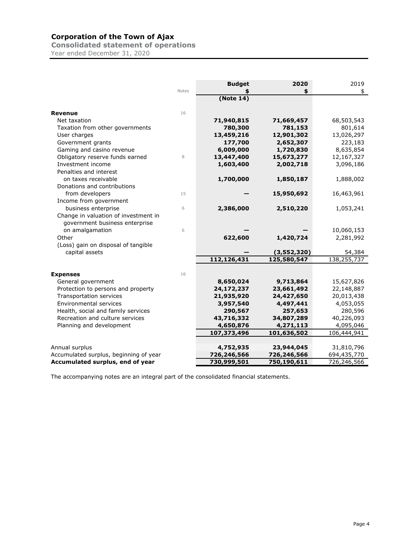**Consolidated statement of operations**

Year ended December 31, 2020

|                                        | <b>Notes</b> | <b>Budget</b> | 2020<br>\$  | 2019<br>\$  |
|----------------------------------------|--------------|---------------|-------------|-------------|
|                                        |              | (Note 14)     |             |             |
| Revenue                                | 16           |               |             |             |
| Net taxation                           |              | 71,940,815    | 71,669,457  | 68,503,543  |
| Taxation from other governments        |              | 780,300       | 781,153     | 801,614     |
| User charges                           |              | 13,459,216    | 12,901,302  | 13,026,297  |
| Government grants                      |              | 177,700       | 2,652,307   | 223,183     |
| Gaming and casino revenue              |              | 6,009,000     | 1,720,830   | 8,635,854   |
| Obligatory reserve funds earned        | 8            | 13,447,400    | 15,673,277  | 12,167,327  |
| Investment income                      |              | 1,603,400     | 2,002,718   | 3,096,186   |
| Penalties and interest                 |              |               |             |             |
| on taxes receivable                    |              | 1,700,000     | 1,850,187   | 1,888,002   |
| Donations and contributions            |              |               |             |             |
| from developers                        | 15           |               | 15,950,692  | 16,463,961  |
| Income from government                 |              |               |             |             |
| business enterprise                    | 6            | 2,386,000     | 2,510,220   | 1,053,241   |
| Change in valuation of investment in   |              |               |             |             |
| government business enterprise         |              |               |             |             |
| on amalgamation                        | 6            |               |             | 10,060,153  |
| Other                                  |              | 622,600       | 1,420,724   | 2,281,992   |
| (Loss) gain on disposal of tangible    |              |               |             |             |
| capital assets                         |              |               | (3,552,320) | 54,384      |
|                                        |              | 112,126,431   | 125,580,547 | 138,255,737 |
|                                        |              |               |             |             |
| <b>Expenses</b>                        | 16           |               |             |             |
| General government                     |              | 8,650,024     | 9,713,864   | 15,627,826  |
| Protection to persons and property     |              | 24,172,237    | 23,661,492  | 22,148,887  |
| Transportation services                |              | 21,935,920    | 24,427,650  | 20,013,438  |
| Environmental services                 |              | 3,957,540     | 4,497,441   | 4,053,055   |
| Health, social and family services     |              | 290,567       | 257,653     | 280,596     |
| Recreation and culture services        |              | 43,716,332    | 34,807,289  | 40,226,093  |
| Planning and development               |              | 4,650,876     | 4,271,113   | 4,095,046   |
|                                        |              | 107,373,496   | 101,636,502 | 106,444,941 |
|                                        |              |               |             |             |
| Annual surplus                         |              | 4,752,935     | 23,944,045  | 31,810,796  |
| Accumulated surplus, beginning of year |              | 726,246,566   | 726,246,566 | 694,435,770 |
| Accumulated surplus, end of year       |              | 730,999,501   | 750,190,611 | 726,246,566 |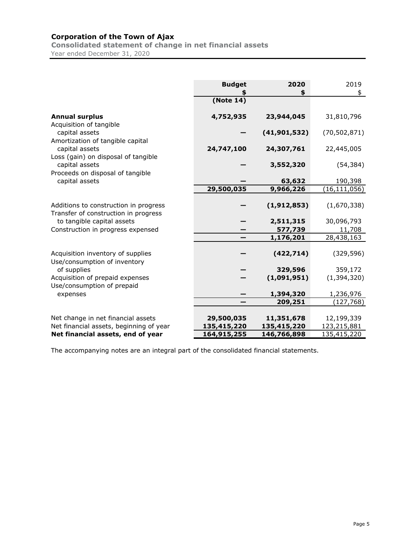**Consolidated statement of change in net financial assets**

Year ended December 31, 2020

|                                                    | <b>Budget</b> | 2020           | 2019<br>\$     |
|----------------------------------------------------|---------------|----------------|----------------|
|                                                    | (Note 14)     |                |                |
| <b>Annual surplus</b>                              | 4,752,935     | 23,944,045     | 31,810,796     |
| Acquisition of tangible                            |               |                |                |
| capital assets<br>Amortization of tangible capital |               | (41, 901, 532) | (70, 502, 871) |
| capital assets                                     | 24,747,100    | 24,307,761     | 22,445,005     |
| Loss (gain) on disposal of tangible                |               |                |                |
| capital assets                                     |               | 3,552,320      | (54, 384)      |
| Proceeds on disposal of tangible                   |               |                |                |
| capital assets                                     |               | 63,632         | 190,398        |
|                                                    | 29,500,035    | 9,966,226      | (16, 111, 056) |
| Additions to construction in progress              |               | (1, 912, 853)  | (1,670,338)    |
| Transfer of construction in progress               |               |                |                |
| to tangible capital assets                         |               | 2,511,315      | 30,096,793     |
| Construction in progress expensed                  |               | 577,739        | 11,708         |
|                                                    |               | 1,176,201      | 28,438,163     |
| Acquisition inventory of supplies                  |               | (422, 714)     | (329, 596)     |
| Use/consumption of inventory                       |               |                |                |
| of supplies                                        |               | 329,596        | 359,172        |
| Acquisition of prepaid expenses                    |               | (1,091,951)    | (1, 394, 320)  |
| Use/consumption of prepaid                         |               |                |                |
| expenses                                           |               | 1,394,320      | 1,236,976      |
|                                                    |               | 209,251        | (127, 768)     |
| Net change in net financial assets                 | 29,500,035    | 11,351,678     | 12,199,339     |
| Net financial assets, beginning of year            | 135,415,220   | 135,415,220    | 123,215,881    |
| Net financial assets, end of year                  | 164,915,255   | 146,766,898    | 135,415,220    |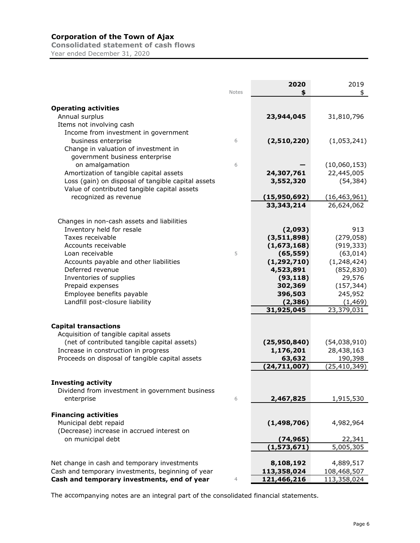**Consolidated statement of cash flows**

Year ended December 31, 2020

|                                                                              |              | 2020               | 2019                  |
|------------------------------------------------------------------------------|--------------|--------------------|-----------------------|
|                                                                              | <b>Notes</b> |                    | \$                    |
|                                                                              |              |                    |                       |
| <b>Operating activities</b><br>Annual surplus                                |              | 23,944,045         | 31,810,796            |
| Items not involving cash                                                     |              |                    |                       |
| Income from investment in government                                         |              |                    |                       |
| business enterprise                                                          | 6            | (2,510,220)        | (1,053,241)           |
| Change in valuation of investment in                                         |              |                    |                       |
| government business enterprise                                               |              |                    |                       |
| on amalgamation                                                              | 6            |                    | (10,060,153)          |
| Amortization of tangible capital assets                                      |              | 24,307,761         | 22,445,005            |
| Loss (gain) on disposal of tangible capital assets                           |              | 3,552,320          | (54, 384)             |
| Value of contributed tangible capital assets                                 |              |                    |                       |
| recognized as revenue                                                        |              | (15,950,692)       | <u>(16,463,961)</u>   |
|                                                                              |              | 33, 343, 214       | 26,624,062            |
|                                                                              |              |                    |                       |
| Changes in non-cash assets and liabilities                                   |              |                    |                       |
| Inventory held for resale                                                    |              | (2,093)            | 913                   |
| Taxes receivable                                                             |              | (3,511,898)        | (279, 058)            |
| Accounts receivable                                                          |              | (1,673,168)        | (919, 333)            |
| Loan receivable                                                              | 5            | (65, 559)          | (63, 014)             |
| Accounts payable and other liabilities                                       |              | (1, 292, 710)      | (1, 248, 424)         |
| Deferred revenue                                                             |              | 4,523,891          | (852, 830)            |
| Inventories of supplies                                                      |              | (93, 118)          | 29,576                |
| Prepaid expenses<br>Employee benefits payable                                |              | 302,369<br>396,503 | (157, 344)<br>245,952 |
| Landfill post-closure liability                                              |              | (2, 386)           | (1, 469)              |
|                                                                              |              | 31,925,045         | 23,379,031            |
|                                                                              |              |                    |                       |
| <b>Capital transactions</b>                                                  |              |                    |                       |
| Acquisition of tangible capital assets                                       |              |                    |                       |
| (net of contributed tangible capital assets)                                 |              | (25,950,840)       | (54,038,910)          |
| Increase in construction in progress                                         |              | 1,176,201          | 28,438,163            |
| Proceeds on disposal of tangible capital assets                              |              | 63,632             | 190,398               |
|                                                                              |              | (24, 711, 007)     | (25, 410, 349)        |
|                                                                              |              |                    |                       |
| <b>Investing activity</b><br>Dividend from investment in government business |              |                    |                       |
| enterprise                                                                   | 6            |                    |                       |
|                                                                              |              | 2,467,825          | 1,915,530             |
| <b>Financing activities</b>                                                  |              |                    |                       |
| Municipal debt repaid                                                        |              | (1,498,706)        | 4,982,964             |
| (Decrease) increase in accrued interest on                                   |              |                    |                       |
| on municipal debt                                                            |              | (74, 965)          | 22,341                |
|                                                                              |              | (1, 573, 671)      | 5,005,305             |
|                                                                              |              |                    |                       |
| Net change in cash and temporary investments                                 |              | 8,108,192          | 4,889,517             |
| Cash and temporary investments, beginning of year                            |              | 113,358,024        | 108,468,507           |
| Cash and temporary investments, end of year                                  | 4            | 121,466,216        | 113,358,024           |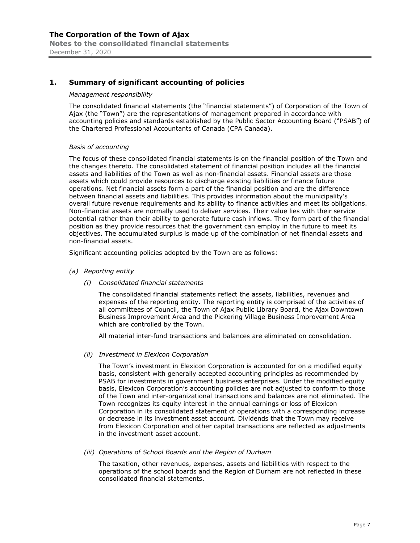# **1. Summary of significant accounting of policies**

#### *Management responsibility*

The consolidated financial statements (the "financial statements") of Corporation of the Town of Ajax (the "Town") are the representations of management prepared in accordance with accounting policies and standards established by the Public Sector Accounting Board ("PSAB") of the Chartered Professional Accountants of Canada (CPA Canada).

#### *Basis of accounting*

The focus of these consolidated financial statements is on the financial position of the Town and the changes thereto. The consolidated statement of financial position includes all the financial assets and liabilities of the Town as well as non-financial assets. Financial assets are those assets which could provide resources to discharge existing liabilities or finance future operations. Net financial assets form a part of the financial position and are the difference between financial assets and liabilities. This provides information about the municipality's overall future revenue requirements and its ability to finance activities and meet its obligations. Non-financial assets are normally used to deliver services. Their value lies with their service potential rather than their ability to generate future cash inflows. They form part of the financial position as they provide resources that the government can employ in the future to meet its objectives. The accumulated surplus is made up of the combination of net financial assets and non-financial assets.

Significant accounting policies adopted by the Town are as follows:

#### *(a) Reporting entity*

*(i) Consolidated financial statements* 

The consolidated financial statements reflect the assets, liabilities, revenues and expenses of the reporting entity. The reporting entity is comprised of the activities of all committees of Council, the Town of Ajax Public Library Board, the Ajax Downtown Business Improvement Area and the Pickering Village Business Improvement Area which are controlled by the Town.

All material inter-fund transactions and balances are eliminated on consolidation.

#### *(ii) Investment in Elexicon Corporation*

The Town's investment in Elexicon Corporation is accounted for on a modified equity basis, consistent with generally accepted accounting principles as recommended by PSAB for investments in government business enterprises. Under the modified equity basis, Elexicon Corporation's accounting policies are not adjusted to conform to those of the Town and inter-organizational transactions and balances are not eliminated. The Town recognizes its equity interest in the annual earnings or loss of Elexicon Corporation in its consolidated statement of operations with a corresponding increase or decrease in its investment asset account. Dividends that the Town may receive from Elexicon Corporation and other capital transactions are reflected as adjustments in the investment asset account.

#### *(iii) Operations of School Boards and the Region of Durham*

The taxation, other revenues, expenses, assets and liabilities with respect to the operations of the school boards and the Region of Durham are not reflected in these consolidated financial statements.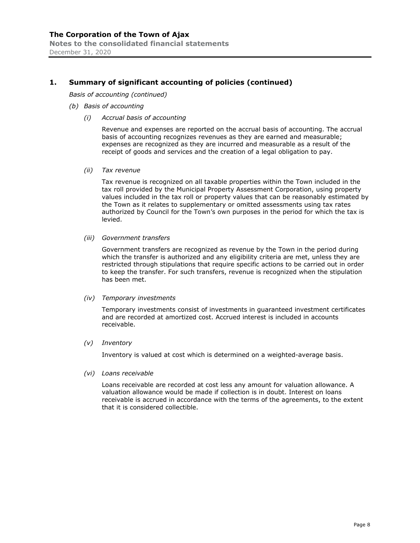# **The Corporation of the Town of Ajax Notes to the consolidated financial statements**  December 31, 2020

# **1. Summary of significant accounting of policies (continued)**

*Basis of accounting (continued)* 

#### *(b) Basis of accounting*

*(i) Accrual basis of accounting* 

Revenue and expenses are reported on the accrual basis of accounting. The accrual basis of accounting recognizes revenues as they are earned and measurable; expenses are recognized as they are incurred and measurable as a result of the receipt of goods and services and the creation of a legal obligation to pay.

#### *(ii) Tax revenue*

Tax revenue is recognized on all taxable properties within the Town included in the tax roll provided by the Municipal Property Assessment Corporation, using property values included in the tax roll or property values that can be reasonably estimated by the Town as it relates to supplementary or omitted assessments using tax rates authorized by Council for the Town's own purposes in the period for which the tax is levied.

*(iii) Government transfers* 

Government transfers are recognized as revenue by the Town in the period during which the transfer is authorized and any eligibility criteria are met, unless they are restricted through stipulations that require specific actions to be carried out in order to keep the transfer. For such transfers, revenue is recognized when the stipulation has been met.

#### *(iv) Temporary investments*

Temporary investments consist of investments in guaranteed investment certificates and are recorded at amortized cost. Accrued interest is included in accounts receivable.

#### *(v) Inventory*

Inventory is valued at cost which is determined on a weighted-average basis.

*(vi) Loans receivable* 

Loans receivable are recorded at cost less any amount for valuation allowance. A valuation allowance would be made if collection is in doubt. Interest on loans receivable is accrued in accordance with the terms of the agreements, to the extent that it is considered collectible.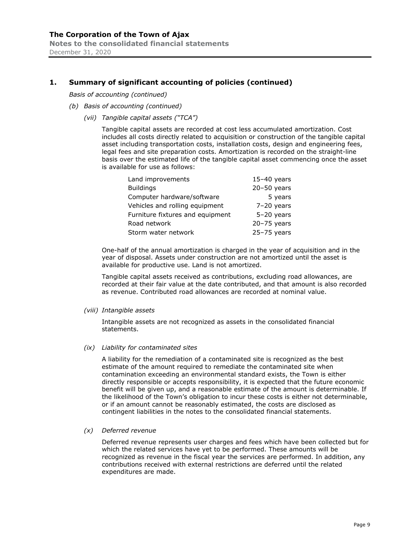# **1. Summary of significant accounting of policies (continued)**

*Basis of accounting (continued)* 

#### *(b) Basis of accounting (continued)*

*(vii) Tangible capital assets ("TCA")* 

Tangible capital assets are recorded at cost less accumulated amortization. Cost includes all costs directly related to acquisition or construction of the tangible capital asset including transportation costs, installation costs, design and engineering fees, legal fees and site preparation costs. Amortization is recorded on the straight-line basis over the estimated life of the tangible capital asset commencing once the asset is available for use as follows:

| Land improvements                | $15-40$ years |
|----------------------------------|---------------|
| <b>Buildings</b>                 | $20-50$ years |
| Computer hardware/software       | 5 years       |
| Vehicles and rolling equipment   | $7-20$ years  |
| Furniture fixtures and equipment | $5-20$ years  |
| Road network                     | $20-75$ years |
| Storm water network              | $25-75$ years |

One-half of the annual amortization is charged in the year of acquisition and in the year of disposal. Assets under construction are not amortized until the asset is available for productive use. Land is not amortized.

Tangible capital assets received as contributions, excluding road allowances, are recorded at their fair value at the date contributed, and that amount is also recorded as revenue. Contributed road allowances are recorded at nominal value.

#### *(viii) Intangible assets*

Intangible assets are not recognized as assets in the consolidated financial statements.

#### *(ix) Liability for contaminated sites*

A liability for the remediation of a contaminated site is recognized as the best estimate of the amount required to remediate the contaminated site when contamination exceeding an environmental standard exists, the Town is either directly responsible or accepts responsibility, it is expected that the future economic benefit will be given up, and a reasonable estimate of the amount is determinable. If the likelihood of the Town's obligation to incur these costs is either not determinable, or if an amount cannot be reasonably estimated, the costs are disclosed as contingent liabilities in the notes to the consolidated financial statements.

#### *(x) Deferred revenue*

Deferred revenue represents user charges and fees which have been collected but for which the related services have yet to be performed. These amounts will be recognized as revenue in the fiscal year the services are performed. In addition, any contributions received with external restrictions are deferred until the related expenditures are made.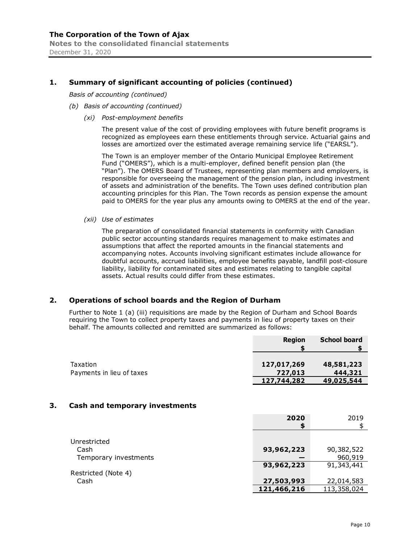#### **1. Summary of significant accounting of policies (continued)**

*Basis of accounting (continued)* 

- *(b) Basis of accounting (continued)* 
	- *(xi) Post-employment benefits*

The present value of the cost of providing employees with future benefit programs is recognized as employees earn these entitlements through service. Actuarial gains and losses are amortized over the estimated average remaining service life ("EARSL").

The Town is an employer member of the Ontario Municipal Employee Retirement Fund ("OMERS"), which is a multi-employer, defined benefit pension plan (the "Plan"). The OMERS Board of Trustees, representing plan members and employers, is responsible for overseeing the management of the pension plan, including investment of assets and administration of the benefits. The Town uses defined contribution plan accounting principles for this Plan. The Town records as pension expense the amount paid to OMERS for the year plus any amounts owing to OMERS at the end of the year.

*(xii) Use of estimates* 

The preparation of consolidated financial statements in conformity with Canadian public sector accounting standards requires management to make estimates and assumptions that affect the reported amounts in the financial statements and accompanying notes. Accounts involving significant estimates include allowance for doubtful accounts, accrued liabilities, employee benefits payable, landfill post-closure liability, liability for contaminated sites and estimates relating to tangible capital assets. Actual results could differ from these estimates.

#### **2. Operations of school boards and the Region of Durham**

Further to Note 1 (a) (iii) requisitions are made by the Region of Durham and School Boards requiring the Town to collect property taxes and payments in lieu of property taxes on their behalf. The amounts collected and remitted are summarized as follows:

| <b>Region</b>          | <b>School board</b>      |
|------------------------|--------------------------|
|                        |                          |
| 127,017,269<br>727,013 | 48,581,223<br>444,321    |
|                        | 49,025,544               |
|                        |                          |
|                        |                          |
|                        | 2019                     |
|                        | S                        |
|                        |                          |
| 93,962,223             | 90,382,522               |
|                        | 960,919                  |
| 93,962,223             | 91,343,441               |
|                        |                          |
| 27,503,993             | 22,014,583               |
| 121,466,216            | 113,358,024              |
|                        | 127,744,282<br>2020<br>S |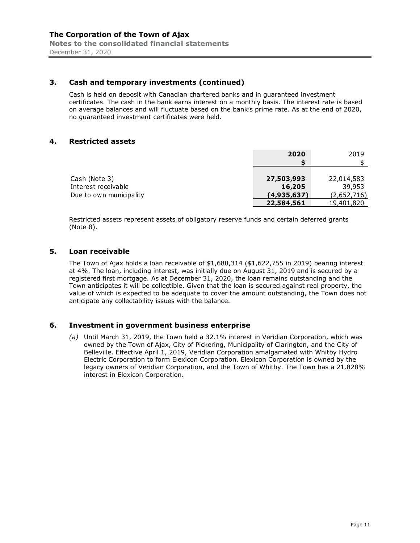# **3. Cash and temporary investments (continued)**

Cash is held on deposit with Canadian chartered banks and in guaranteed investment certificates. The cash in the bank earns interest on a monthly basis. The interest rate is based on average balances and will fluctuate based on the bank's prime rate. As at the end of 2020, no guaranteed investment certificates were held.

# **4. Restricted assets**

|                         | 2020        | 2019        |
|-------------------------|-------------|-------------|
|                         |             |             |
|                         |             |             |
| Cash (Note 3)           | 27,503,993  | 22,014,583  |
| Interest receivable     | 16,205      | 39,953      |
| Due to own municipality | (4,935,637) | (2,652,716) |
|                         | 22,584,561  | 19,401,820  |

Restricted assets represent assets of obligatory reserve funds and certain deferred grants (Note 8).

# **5. Loan receivable**

The Town of Ajax holds a loan receivable of \$1,688,314 (\$1,622,755 in 2019) bearing interest at 4%. The loan, including interest, was initially due on August 31, 2019 and is secured by a registered first mortgage. As at December 31, 2020, the loan remains outstanding and the Town anticipates it will be collectible. Given that the loan is secured against real property, the value of which is expected to be adequate to cover the amount outstanding, the Town does not anticipate any collectability issues with the balance.

# **6. Investment in government business enterprise**

*(a)* Until March 31, 2019, the Town held a 32.1% interest in Veridian Corporation, which was owned by the Town of Ajax, City of Pickering, Municipality of Clarington, and the City of Belleville. Effective April 1, 2019, Veridian Corporation amalgamated with Whitby Hydro Electric Corporation to form Elexicon Corporation. Elexicon Corporation is owned by the legacy owners of Veridian Corporation, and the Town of Whitby. The Town has a 21.828% interest in Elexicon Corporation.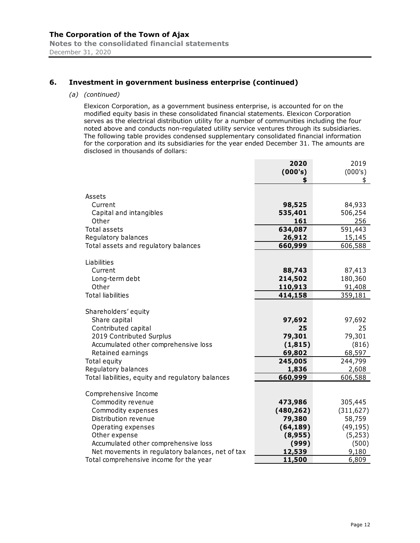#### **6. Investment in government business enterprise (continued)**

*(a) (continued)* 

Elexicon Corporation, as a government business enterprise, is accounted for on the modified equity basis in these consolidated financial statements. Elexicon Corporation serves as the electrical distribution utility for a number of communities including the four noted above and conducts non-regulated utility service ventures through its subsidiaries. The following table provides condensed supplementary consolidated financial information for the corporation and its subsidiaries for the year ended December 31. The amounts are disclosed in thousands of dollars:

|                                                   | 2020       | 2019       |
|---------------------------------------------------|------------|------------|
|                                                   | (000's)    | (000's)    |
|                                                   | \$         | \$         |
| Assets                                            |            |            |
| Current                                           | 98,525     | 84,933     |
| Capital and intangibles                           | 535,401    | 506,254    |
| Other                                             | 161        | 256        |
| Total assets                                      | 634,087    | 591,443    |
| Regulatory balances                               | 26,912     | 15,145     |
| Total assets and regulatory balances              | 660,999    | 606,588    |
|                                                   |            |            |
| Liabilities                                       |            |            |
| Current                                           | 88,743     | 87,413     |
| Long-term debt                                    | 214,502    | 180,360    |
| Other                                             | 110,913    | 91,408     |
| <b>Total liabilities</b>                          | 414,158    | 359,181    |
|                                                   |            |            |
| Shareholders' equity                              |            |            |
| Share capital                                     | 97,692     | 97,692     |
| Contributed capital                               | 25         | 25         |
| 2019 Contributed Surplus                          | 79,301     | 79,301     |
| Accumulated other comprehensive loss              | (1, 815)   | (816)      |
| Retained earnings                                 | 69,802     | 68,597     |
| Total equity                                      | 245,005    | 244,799    |
| Regulatory balances                               | 1,836      | 2,608      |
| Total liabilities, equity and regulatory balances | 660,999    | 606,588    |
|                                                   |            |            |
| Comprehensive Income                              |            |            |
| Commodity revenue                                 | 473,986    | 305,445    |
| Commodity expenses                                | (480, 262) | (311, 627) |
| Distribution revenue                              | 79,380     | 58,759     |
| Operating expenses                                | (64, 189)  | (49, 195)  |
| Other expense                                     | (8, 955)   | (5,253)    |
| Accumulated other comprehensive loss              | (999)      | (500)      |
| Net movements in regulatory balances, net of tax  | 12,539     | 9,180      |
| Total comprehensive income for the year           | 11,500     | 6,809      |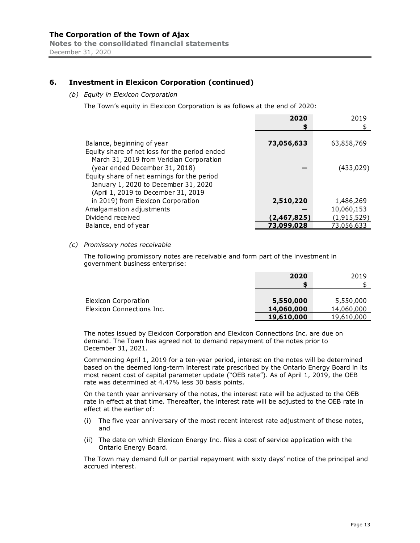**Notes to the consolidated financial statements**  December 31, 2020

# **6. Investment in Elexicon Corporation (continued)**

#### *(b) Equity in Elexicon Corporation*

The Town's equity in Elexicon Corporation is as follows at the end of 2020:

|                                                                                                                                                                   | 2020        | 2019                    |
|-------------------------------------------------------------------------------------------------------------------------------------------------------------------|-------------|-------------------------|
| Balance, beginning of year<br>Equity share of net loss for the period ended                                                                                       | 73,056,633  | 63,858,769              |
| March 31, 2019 from Veridian Corporation<br>(year ended December 31, 2018)<br>Equity share of net earnings for the period<br>January 1, 2020 to December 31, 2020 |             | (433, 029)              |
| (April 1, 2019 to December 31, 2019<br>in 2019) from Elexicon Corporation<br>Amalgamation adjustments                                                             | 2,510,220   | 1,486,269<br>10,060,153 |
| Dividend received                                                                                                                                                 | (2,467,825) | (1, 915, 529)           |
| Balance, end of year                                                                                                                                              | 73,099,028  | 73,056,633              |

#### *(c) Promissory notes receivable*

The following promissory notes are receivable and form part of the investment in government business enterprise:

|                           | 2020       | 2019       |
|---------------------------|------------|------------|
|                           |            |            |
|                           |            |            |
| Elexicon Corporation      | 5,550,000  | 5,550,000  |
| Elexicon Connections Inc. | 14,060,000 | 14,060,000 |
|                           | 19,610,000 | 19,610,000 |

The notes issued by Elexicon Corporation and Elexicon Connections Inc. are due on demand. The Town has agreed not to demand repayment of the notes prior to December 31, 2021.

Commencing April 1, 2019 for a ten-year period, interest on the notes will be determined based on the deemed long-term interest rate prescribed by the Ontario Energy Board in its most recent cost of capital parameter update ("OEB rate"). As of April 1, 2019, the OEB rate was determined at 4.47% less 30 basis points.

On the tenth year anniversary of the notes, the interest rate will be adjusted to the OEB rate in effect at that time. Thereafter, the interest rate will be adjusted to the OEB rate in effect at the earlier of:

- (i) The five year anniversary of the most recent interest rate adjustment of these notes, and
- (ii) The date on which Elexicon Energy Inc. files a cost of service application with the Ontario Energy Board.

The Town may demand full or partial repayment with sixty days' notice of the principal and accrued interest.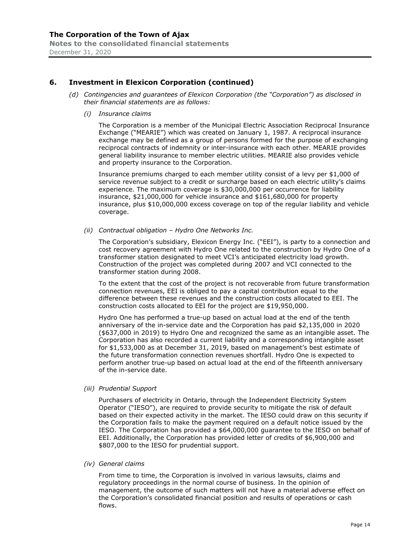# **The Corporation of the Town of Ajax Notes to the consolidated financial statements**  December 31, 2020

#### **6. Investment in Elexicon Corporation (continued)**

- *(d) Contingencies and guarantees of Elexicon Corporation (the "Corporation") as disclosed in their financial statements are as follows:* 
	- *(i) Insurance claims*

The Corporation is a member of the Municipal Electric Association Reciprocal Insurance Exchange ("MEARIE") which was created on January 1, 1987. A reciprocal insurance exchange may be defined as a group of persons formed for the purpose of exchanging reciprocal contracts of indemnity or inter-insurance with each other. MEARIE provides general liability insurance to member electric utilities. MEARIE also provides vehicle and property insurance to the Corporation.

Insurance premiums charged to each member utility consist of a levy per \$1,000 of service revenue subject to a credit or surcharge based on each electric utility's claims experience. The maximum coverage is \$30,000,000 per occurrence for liability insurance, \$21,000,000 for vehicle insurance and \$161,680,000 for property insurance, plus \$10,000,000 excess coverage on top of the regular liability and vehicle coverage.

*(ii) Contractual obligation – Hydro One Networks Inc.* 

The Corporation's subsidiary, Elexicon Energy Inc. ("EEI"), is party to a connection and cost recovery agreement with Hydro One related to the construction by Hydro One of a transformer station designated to meet VCI's anticipated electricity load growth. Construction of the project was completed during 2007 and VCI connected to the transformer station during 2008.

To the extent that the cost of the project is not recoverable from future transformation connection revenues, EEI is obliged to pay a capital contribution equal to the difference between these revenues and the construction costs allocated to EEI. The construction costs allocated to EEI for the project are \$19,950,000.

Hydro One has performed a true-up based on actual load at the end of the tenth anniversary of the in-service date and the Corporation has paid \$2,135,000 in 2020 (\$637,000 in 2019) to Hydro One and recognized the same as an intangible asset. The Corporation has also recorded a current liability and a corresponding intangible asset for \$1,533,000 as at December 31, 2019, based on management's best estimate of the future transformation connection revenues shortfall. Hydro One is expected to perform another true-up based on actual load at the end of the fifteenth anniversary of the in-service date.

*(iii) Prudential Support* 

Purchasers of electricity in Ontario, through the Independent Electricity System Operator ("IESO"), are required to provide security to mitigate the risk of default based on their expected activity in the market. The IESO could draw on this security if the Corporation fails to make the payment required on a default notice issued by the IESO. The Corporation has provided a \$64,000,000 guarantee to the IESO on behalf of EEI. Additionally, the Corporation has provided letter of credits of \$6,900,000 and \$807,000 to the IESO for prudential support.

*(iv) General claims* 

From time to time, the Corporation is involved in various lawsuits, claims and regulatory proceedings in the normal course of business. In the opinion of management, the outcome of such matters will not have a material adverse effect on the Corporation's consolidated financial position and results of operations or cash flows.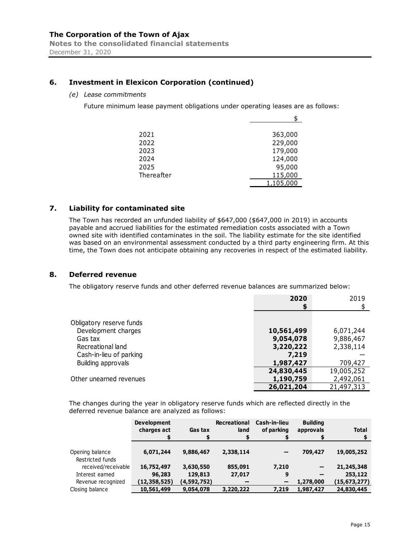# **6. Investment in Elexicon Corporation (continued)**

#### *(e) Lease commitments*

Future minimum lease payment obligations under operating leases are as follows:

| 2021       | 363,000   |
|------------|-----------|
| 2022       | 229,000   |
| 2023       | 179,000   |
| 2024       | 124,000   |
| 2025       | 95,000    |
| Thereafter | 115,000   |
|            | 1,105,000 |

#### **7. Liability for contaminated site**

The Town has recorded an unfunded liability of \$647,000 (\$647,000 in 2019) in accounts payable and accrued liabilities for the estimated remediation costs associated with a Town owned site with identified contaminates in the soil. The liability estimate for the site identified was based on an environmental assessment conducted by a third party engineering firm. At this time, the Town does not anticipate obtaining any recoveries in respect of the estimated liability*.*

#### **8. Deferred revenue**

The obligatory reserve funds and other deferred revenue balances are summarized below:

|                          | 2020       | 2019       |
|--------------------------|------------|------------|
|                          | S          |            |
|                          |            |            |
| Obligatory reserve funds |            |            |
| Development charges      | 10,561,499 | 6,071,244  |
| Gas tax                  | 9,054,078  | 9,886,467  |
| Recreational land        | 3,220,222  | 2,338,114  |
| Cash-in-lieu of parking  | 7,219      |            |
| Building approvals       | 1,987,427  | 709,427    |
|                          | 24,830,445 | 19,005,252 |
| Other unearned revenues  | 1,190,759  | 2,492,061  |
|                          | 26,021,204 | 21,497,313 |

The changes during the year in obligatory reserve funds which are reflected directly in the deferred revenue balance are analyzed as follows:

|                                     | <b>Development</b><br>charges act | Gas tax     | Recreational<br>land | Cash-in-lieu<br>of parking | <b>Building</b><br>approvals | <b>Total</b>   |
|-------------------------------------|-----------------------------------|-------------|----------------------|----------------------------|------------------------------|----------------|
| Opening balance<br>Restricted funds | 6,071,244                         | 9,886,467   | 2,338,114            | $\overline{\phantom{m}}$   | 709,427                      | 19,005,252     |
| received/receivable                 | 16,752,497                        | 3,630,550   | 855,091              | 7,210                      | $\overline{\phantom{0}}$     | 21,245,348     |
| Interest earned                     | 96,283                            | 129,813     | 27,017               | 9                          | -                            | 253,122        |
| Revenue recognized                  | (12, 358, 525)                    | (4,592,752) |                      |                            | 1,278,000                    | (15, 673, 277) |
| Closing balance                     | 10,561,499                        | 9,054,078   | 3,220,222            | 7,219                      | 1,987,427                    | 24,830,445     |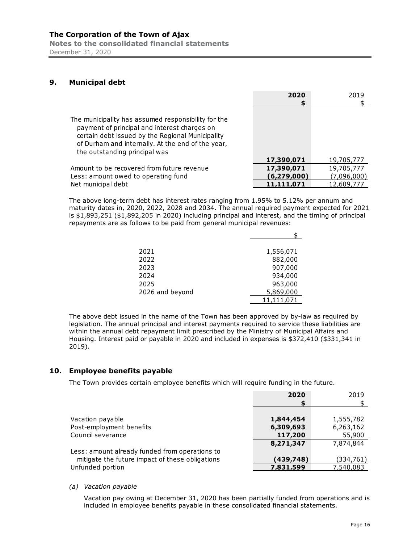**Notes to the consolidated financial statements**  December 31, 2020

# **9. Municipal debt**

|                                                                                                                                                                                                                                               | 2020        | 2019        |
|-----------------------------------------------------------------------------------------------------------------------------------------------------------------------------------------------------------------------------------------------|-------------|-------------|
| The municipality has assumed responsibility for the<br>payment of principal and interest charges on<br>certain debt issued by the Regional Municipality<br>of Durham and internally. At the end of the year,<br>the outstanding principal was |             |             |
|                                                                                                                                                                                                                                               | 17,390,071  | 19,705,777  |
| Amount to be recovered from future revenue                                                                                                                                                                                                    | 17,390,071  | 19,705,777  |
| Less: amount owed to operating fund                                                                                                                                                                                                           | (6,279,000) | (7,096,000) |
| Net municipal debt                                                                                                                                                                                                                            | 11,111,071  | 12,609,777  |

The above long-term debt has interest rates ranging from 1.95% to 5.12% per annum and maturity dates in, 2020, 2022, 2028 and 2034. The annual required payment expected for 2021 is \$1,893,251 (\$1,892,205 in 2020) including principal and interest, and the timing of principal repayments are as follows to be paid from general municipal revenues:

| 2021            | 1,556,071  |
|-----------------|------------|
| 2022            | 882,000    |
| 2023            | 907,000    |
| 2024            | 934,000    |
| 2025            | 963,000    |
| 2026 and beyond | 5,869,000  |
|                 | 11,111,071 |

The above debt issued in the name of the Town has been approved by by-law as required by legislation. The annual principal and interest payments required to service these liabilities are within the annual debt repayment limit prescribed by the Ministry of Municipal Affairs and Housing. Interest paid or payable in 2020 and included in expenses is \$372,410 (\$331,341 in 2019).

# **10. Employee benefits payable**

The Town provides certain employee benefits which will require funding in the future.

|           | 2019      |
|-----------|-----------|
| S         |           |
|           |           |
| 1,844,454 | 1,555,782 |
| 6,309,693 | 6,263,162 |
| 117,200   | 55,900    |
| 8,271,347 | 7,874,844 |
|           |           |
| (439,748) | (334,761) |
| 7,831,599 | 7,540,083 |
|           |           |

#### *(a) Vacation payable*

Vacation pay owing at December 31, 2020 has been partially funded from operations and is included in employee benefits payable in these consolidated financial statements.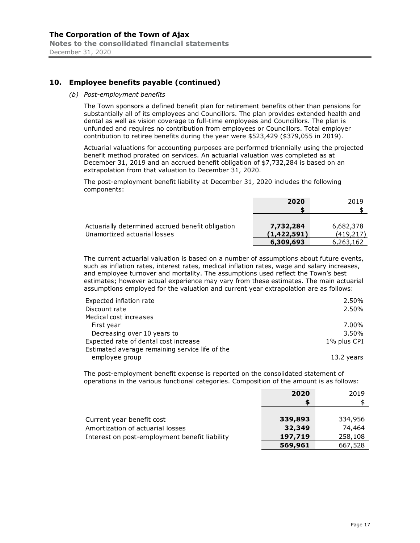# **10. Employee benefits payable (continued)**

#### *(b) Post-employment benefits*

The Town sponsors a defined benefit plan for retirement benefits other than pensions for substantially all of its employees and Councillors. The plan provides extended health and dental as well as vision coverage to full-time employees and Councillors. The plan is unfunded and requires no contribution from employees or Councillors. Total employer contribution to retiree benefits during the year were \$523,429 (\$379,055 in 2019).

Actuarial valuations for accounting purposes are performed triennially using the projected benefit method prorated on services. An actuarial valuation was completed as at December 31, 2019 and an accrued benefit obligation of \$7,732,284 is based on an extrapolation from that valuation to December 31, 2020.

The post-employment benefit liability at December 31, 2020 includes the following components:

|                                                                                   | 2020                     | 2019                   |
|-----------------------------------------------------------------------------------|--------------------------|------------------------|
| Actuarially determined accrued benefit obligation<br>Unamortized actuarial losses | 7,732,284<br>(1,422,591) | 6,682,378<br>(419,217) |
|                                                                                   | 6,309,693                | 6,263,162              |

The current actuarial valuation is based on a number of assumptions about future events, such as inflation rates, interest rates, medical inflation rates, wage and salary increases, and employee turnover and mortality. The assumptions used reflect the Town's best estimates; however actual experience may vary from these estimates. The main actuarial assumptions employed for the valuation and current year extrapolation are as follows:

| Expected inflation rate                         | 2.50%       |
|-------------------------------------------------|-------------|
| Discount rate                                   | 2.50%       |
| Medical cost increases                          |             |
| First year                                      | 7.00%       |
| Decreasing over 10 years to                     | 3.50%       |
| Expected rate of dental cost increase           | 1% plus CPI |
| Estimated average remaining service life of the |             |
| employee group                                  | 13.2 years  |

The post-employment benefit expense is reported on the consolidated statement of operations in the various functional categories. Composition of the amount is as follows:

|                                               | 2020    | 2019    |
|-----------------------------------------------|---------|---------|
|                                               | S       |         |
|                                               |         |         |
| Current year benefit cost                     | 339,893 | 334,956 |
| Amortization of actuarial losses              | 32,349  | 74,464  |
| Interest on post-employment benefit liability | 197,719 | 258,108 |
|                                               | 569,961 | 667,528 |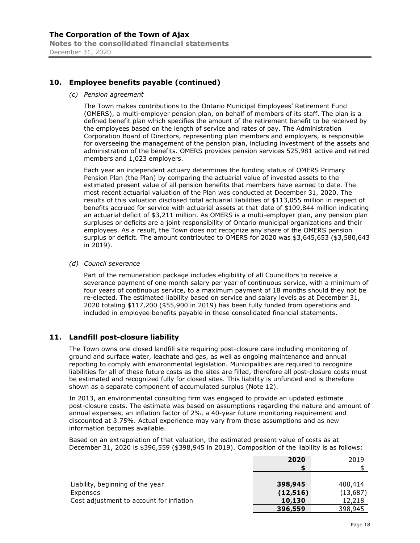# **10. Employee benefits payable (continued)**

*(c) Pension agreement* 

The Town makes contributions to the Ontario Municipal Employees' Retirement Fund (OMERS), a multi-employer pension plan, on behalf of members of its staff. The plan is a defined benefit plan which specifies the amount of the retirement benefit to be received by the employees based on the length of service and rates of pay. The Administration Corporation Board of Directors, representing plan members and employers, is responsible for overseeing the management of the pension plan, including investment of the assets and administration of the benefits. OMERS provides pension services 525,981 active and retired members and 1,023 employers.

Each year an independent actuary determines the funding status of OMERS Primary Pension Plan (the Plan) by comparing the actuarial value of invested assets to the estimated present value of all pension benefits that members have earned to date. The most recent actuarial valuation of the Plan was conducted at December 31, 2020. The results of this valuation disclosed total actuarial liabilities of \$113,055 million in respect of benefits accrued for service with actuarial assets at that date of \$109,844 million indicating an actuarial deficit of \$3,211 million. As OMERS is a multi-employer plan, any pension plan surpluses or deficits are a joint responsibility of Ontario municipal organizations and their employees. As a result, the Town does not recognize any share of the OMERS pension surplus or deficit. The amount contributed to OMERS for 2020 was \$3,645,653 (\$3,580,643 in 2019).

*(d) Council severance*

Part of the remuneration package includes eligibility of all Councillors to receive a severance payment of one month salary per year of continuous service, with a minimum of four years of continuous service, to a maximum payment of 18 months should they not be re-elected. The estimated liability based on service and salary levels as at December 31, 2020 totaling \$117,200 (\$55,900 in 2019) has been fully funded from operations and included in employee benefits payable in these consolidated financial statements.

# **11. Landfill post-closure liability**

The Town owns one closed landfill site requiring post-closure care including monitoring of ground and surface water, leachate and gas, as well as ongoing maintenance and annual reporting to comply with environmental legislation. Municipalities are required to recognize liabilities for all of these future costs as the sites are filled, therefore all post-closure costs must be estimated and recognized fully for closed sites. This liability is unfunded and is therefore shown as a separate component of accumulated surplus (Note 12).

In 2013, an environmental consulting firm was engaged to provide an updated estimate post-closure costs. The estimate was based on assumptions regarding the nature and amount of annual expenses, an inflation factor of 2%, a 40-year future monitoring requirement and discounted at 3.75%. Actual experience may vary from these assumptions and as new information becomes available.

Based on an extrapolation of that valuation, the estimated present value of costs as at December 31, 2020 is \$396,559 (\$398,945 in 2019). Composition of the liability is as follows:

|                                          | 2020      | 2019     |
|------------------------------------------|-----------|----------|
|                                          |           |          |
| Liability, beginning of the year         | 398,945   | 400,414  |
| Expenses                                 | (12, 516) | (13,687) |
| Cost adjustment to account for inflation | 10,130    | 12,218   |
|                                          | 396,559   | 398,945  |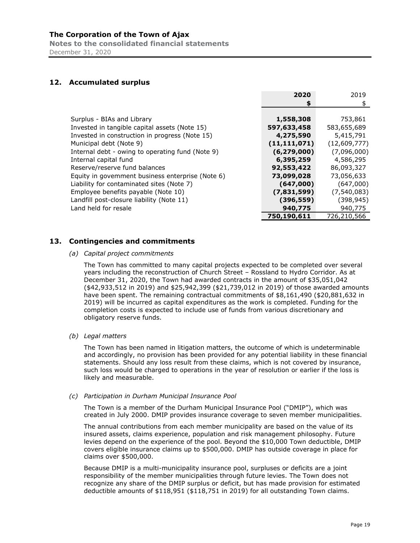**Notes to the consolidated financial statements**  December 31, 2020

#### **12. Accumulated surplus**

|                                                  | 2020           | 2019         |
|--------------------------------------------------|----------------|--------------|
|                                                  |                | \$           |
|                                                  |                |              |
| Surplus - BIAs and Library                       | 1,558,308      | 753,861      |
| Invested in tangible capital assets (Note 15)    | 597,633,458    | 583,655,689  |
| Invested in construction in progress (Note 15)   | 4,275,590      | 5,415,791    |
| Municipal debt (Note 9)                          | (11, 111, 071) | (12,609,777) |
| Internal debt - owing to operating fund (Note 9) | (6, 279, 000)  | (7,096,000)  |
| Internal capital fund                            | 6,395,259      | 4,586,295    |
| Reserve/reserve fund balances                    | 92,553,422     | 86,093,327   |
| Equity in govemment business enterprise (Note 6) | 73,099,028     | 73,056,633   |
| Liability for contaminated sites (Note 7)        | (647,000)      | (647,000)    |
| Employee benefits payable (Note 10)              | (7,831,599)    | (7,540,083)  |
| Landfill post-closure liability (Note 11)        | (396,559)      | (398, 945)   |
| Land held for resale                             | 940,775        | 940,775      |
|                                                  | 750,190,611    | 726,210,566  |

#### **13. Contingencies and commitments**

*(a) Capital project commitments* 

The Town has committed to many capital projects expected to be completed over several years including the reconstruction of Church Street – Rossland to Hydro Corridor. As at December 31, 2020, the Town had awarded contracts in the amount of \$35,051,042 (\$42,933,512 in 2019) and \$25,942,399 (\$21,739,012 in 2019) of those awarded amounts have been spent. The remaining contractual commitments of \$8,161,490 (\$20,881,632 in 2019) will be incurred as capital expenditures as the work is completed. Funding for the completion costs is expected to include use of funds from various discretionary and obligatory reserve funds.

*(b) Legal matters* 

The Town has been named in litigation matters, the outcome of which is undeterminable and accordingly, no provision has been provided for any potential liability in these financial statements. Should any loss result from these claims, which is not covered by insurance, such loss would be charged to operations in the year of resolution or earlier if the loss is likely and measurable.

*(c) Participation in Durham Municipal Insurance Pool* 

The Town is a member of the Durham Municipal Insurance Pool ("DMIP"), which was created in July 2000. DMIP provides insurance coverage to seven member municipalities.

The annual contributions from each member municipality are based on the value of its insured assets, claims experience, population and risk management philosophy. Future levies depend on the experience of the pool. Beyond the \$10,000 Town deductible, DMIP covers eligible insurance claims up to \$500,000. DMIP has outside coverage in place for claims over \$500,000.

Because DMIP is a multi-municipality insurance pool, surpluses or deficits are a joint responsibility of the member municipalities through future levies. The Town does not recognize any share of the DMIP surplus or deficit, but has made provision for estimated deductible amounts of \$118,951 (\$118,751 in 2019) for all outstanding Town claims.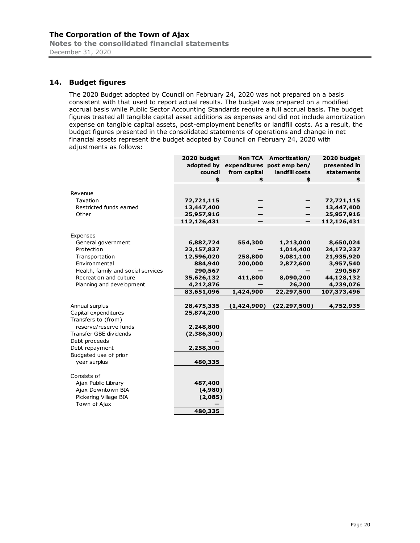**Notes to the consolidated financial statements**  December 31, 2020

# **14. Budget figures**

The 2020 Budget adopted by Council on February 24, 2020 was not prepared on a basis consistent with that used to report actual results. The budget was prepared on a modified accrual basis while Public Sector Accounting Standards require a full accrual basis. The budget figures treated all tangible capital asset additions as expenses and did not include amortization expense on tangible capital assets, post-employment benefits or landfill costs. As a result, the budget figures presented in the consolidated statements of operations and change in net financial assets represent the budget adopted by Council on February 24, 2020 with adjustments as follows:

|                                    | 2020 budget | <b>Non TCA</b> | Amortization/              | 2020 budget  |
|------------------------------------|-------------|----------------|----------------------------|--------------|
|                                    | adopted by  |                | expenditures post emp ben/ | presented in |
|                                    | council     | from capital   | landfill costs             | statements   |
|                                    | \$          | \$             | \$                         | \$           |
| Revenue                            |             |                |                            |              |
| Taxation                           | 72,721,115  |                |                            | 72,721,115   |
| Restricted funds earned            | 13,447,400  |                |                            | 13,447,400   |
| Other                              | 25,957,916  |                |                            | 25,957,916   |
|                                    | 112,126,431 |                |                            | 112,126,431  |
|                                    |             |                |                            |              |
| Expenses                           |             |                |                            |              |
| General government                 | 6,882,724   | 554,300        | 1,213,000                  | 8,650,024    |
| Protection                         | 23,157,837  |                | 1,014,400                  | 24,172,237   |
| Transportation                     | 12,596,020  | 258,800        | 9,081,100                  | 21,935,920   |
| Environmental                      | 884,940     | 200,000        | 2,872,600                  | 3,957,540    |
| Health, family and social services | 290,567     |                |                            | 290,567      |
| Recreation and culture             | 35,626,132  | 411,800        | 8,090,200                  | 44,128,132   |
| Planning and development           | 4,212,876   |                | 26,200                     | 4,239,076    |
|                                    | 83,651,096  | 1,424,900      | 22,297,500                 | 107,373,496  |
|                                    |             |                |                            |              |
| Annual surplus                     | 28,475,335  | (1,424,900)    | (22, 297, 500)             | 4,752,935    |
| Capital expenditures               | 25,874,200  |                |                            |              |
| Transfers to (from)                |             |                |                            |              |
| reserve/reserve funds              | 2,248,800   |                |                            |              |
| Transfer GBE dividends             | (2,386,300) |                |                            |              |
| Debt proceeds                      |             |                |                            |              |
| Debt repayment                     | 2,258,300   |                |                            |              |
| Budgeted use of prior              |             |                |                            |              |
| year surplus                       | 480,335     |                |                            |              |
| Consists of                        |             |                |                            |              |
| Ajax Public Library                | 487,400     |                |                            |              |
| Ajax Downtown BIA                  | (4,980)     |                |                            |              |
| Pickering Village BIA              | (2,085)     |                |                            |              |
| Town of Ajax                       |             |                |                            |              |
|                                    | 480,335     |                |                            |              |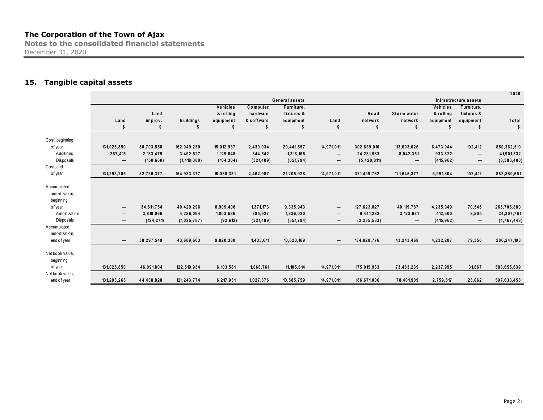**Notes to the consolidated financial statements**  December 31, 2020

# **15. Tangible capital assets**

|                  |                          |             |                  |            |            |                       |                              |               |                          |            |                              | 2020          |
|------------------|--------------------------|-------------|------------------|------------|------------|-----------------------|------------------------------|---------------|--------------------------|------------|------------------------------|---------------|
|                  |                          |             |                  |            |            | <b>General assets</b> |                              |               |                          |            | Infrastructure assets        |               |
|                  |                          |             |                  | Vehicles   | Computer   | Furniture.            |                              |               |                          | Vehicles   | Furniture,                   |               |
|                  |                          | Land        |                  | & rolling  | hardware   | fixtures &            |                              | Road          | Storm water              | & rolling  | fixtures &                   |               |
|                  | Land                     | improv.     | <b>Buildings</b> | equipment  | & software | equipment             | Land                         | network       | network                  | equipment  | equipment                    | Total         |
|                  | S                        | S           |                  |            |            | S                     |                              |               |                          |            |                              | \$            |
| Cost, beginning  |                          |             |                  |            |            |                       |                              |               |                          |            |                              |               |
| of year          | 131,025,850              | 80,703,558  | 162,949,230      | 15,012,987 | 2,439,934  | 20,441,557            | 14,971,011                   | 302,639,010   | 113,603,026              | 6,473,944  | 102,412                      | 850,362,519   |
| Additions        | 267,415                  | 2, 183, 479 | 3,402,527        | 1,129,648  | 344,542    | 1, 3 16, 165          | —                            | 24,281,583    | 8,042,351                | 933,822    | —                            | 41,901,532    |
| <b>Disposals</b> | $\overline{\phantom{0}}$ | (150, 660)  | (1, 418, 380)    | (104, 304) | (321, 489) | (551, 794)            | -                            | (5,420,811)   | $\overline{\phantom{m}}$ | (415, 962) | $\qquad \qquad \blacksquare$ | (8,383,400)   |
| Cost, end        |                          |             |                  |            |            |                       |                              |               |                          |            |                              |               |
| of year          | 131,293,265              | 82,736,377  | 164,933,377      | 16,038,331 | 2,462,987  | 21,205,928            | 14,971,011                   | 321,499,782   | 121,645,377              | 6,991,804  | 102,412                      | 883,880,651   |
| Accumulated      |                          |             |                  |            |            |                       |                              |               |                          |            |                              |               |
| amortization,    |                          |             |                  |            |            |                       |                              |               |                          |            |                              |               |
| beginning        |                          |             |                  |            |            |                       |                              |               |                          |            |                              |               |
| of year          |                          | 34,611,754  | 40,429,296       | 8,909,406  | 1,371,173  | 9,335,943             |                              | 127,623,027   | 40,119,787               | 4,235,949  | 70,545                       | 266,706,880   |
| Amortization     | $\qquad \qquad$          | 3,810,066   | 4,286,094        |            | 385,927    | 1,836,020             | $\overline{\phantom{m}}$     | 9,441,282     |                          | 412,300    | 8,805                        |               |
| Disposals        | $\qquad \qquad$          |             |                  | 1,003,586  |            |                       | $\qquad \qquad$              |               | 3, 123, 681              |            |                              | 24,307,761    |
| Accumulated      | $\overline{\phantom{0}}$ | (124, 271)  | (1,025,787)      | (92, 612)  | (321, 489) | (551, 794)            | $\qquad \qquad \blacksquare$ | (2, 235, 533) | $\overline{\phantom{m}}$ | (415, 962) | $\qquad \qquad$              | (4, 767, 448) |
|                  |                          |             |                  |            |            |                       |                              |               |                          |            |                              |               |
| amortization,    | $\qquad \qquad -$        | 38,297,549  | 43,689,603       | 9,820,380  | 1,435,611  | 10,620,169            |                              | 134,828,776   | 43,243,468               | 4,232,287  | 79,350                       | 286,247,193   |
| end of year      |                          |             |                  |            |            |                       | $\qquad \qquad$              |               |                          |            |                              |               |
| Net book value,  |                          |             |                  |            |            |                       |                              |               |                          |            |                              |               |
| beginning        |                          |             |                  |            |            |                       |                              |               |                          |            |                              |               |
| of year          | 131,025,850              | 46,091,804  | 122,519,934      | 6,103,581  | 1,068,761  | 11, 105, 614          | 14,971,011                   | 175,015,983   | 73,483,239               | 2,237,995  | 31,867                       | 583,655,639   |
| Net book value,  |                          |             |                  |            |            |                       |                              |               |                          |            |                              |               |
| end of year      | 131.293.265              | 44.438.828  | 121,243,774      | 6,217,951  | 1,027,376  | 10,585,759            | 14,971,011                   | 186,671,006   | 78,401,909               | 2,759,517  | 23.062                       | 597,633,458   |
|                  |                          |             |                  |            |            |                       |                              |               |                          |            |                              |               |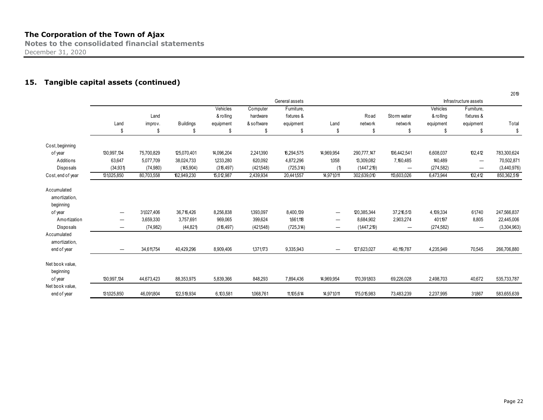**Notes to the consolidated financial statements**  December 31, 2020

# **15. Tangible capital assets (continued)**

|                   |                                         |            |                  |            |            |            |                          |             |                          |            |                          | 2019        |
|-------------------|-----------------------------------------|------------|------------------|------------|------------|------------|--------------------------|-------------|--------------------------|------------|--------------------------|-------------|
|                   | General assets<br>Infrastructure assets |            |                  |            |            |            |                          |             |                          |            |                          |             |
|                   |                                         |            |                  | Vehicles   | Computer   | Furniture, |                          |             |                          | Vehicles   | Furniture,               |             |
|                   |                                         | Land       |                  | & rolling  | hardware   | fixtures & |                          | Road        | Storm water              | & rolling  | fixtures &               |             |
|                   | Land                                    | improv.    | <b>Buildings</b> | equipment  | & software | equipment  | Land                     | network     | network                  | equipment  | equipment                | Total       |
|                   | \$                                      |            | \$               | S          | \$         | S          | \$                       | .s          | \$                       |            | S                        | \$          |
| Cost, beginning   |                                         |            |                  |            |            |            |                          |             |                          |            |                          |             |
| of year           | 130,997,134                             | 75,700,829 | 125,070,401      | 14,096,204 | 2,241,390  | 16,294,575 | 14,969,954               | 290,777,147 | 106,442,541              | 6,608,037  | 102,412                  | 783,300,624 |
| Additions         | 63,647                                  | 5,077,709  | 38,024,733       | 1,233,280  | 620,092    | 4,872,296  | 1,058                    | 13,309,082  | 7,160,485                | 140,489    | $\overline{\phantom{m}}$ | 70,502,871  |
| Disposals         | (34, 931)                               | (74,980)   | (145, 904)       | (316, 497) | (421,548)  | (725, 314) | (1)                      | (1,447,219) |                          | (274, 582) | $\overline{\phantom{m}}$ | (3,440,976) |
| Cost, end of year | 131,025,850                             | 80,703,558 | 162,949,230      | 15,012,987 | 2,439,934  | 20,441,557 | 14,971,011               | 302,639,010 | 113,603,026              | 6,473,944  | 102,412                  | 850,362,519 |
| Accumulated       |                                         |            |                  |            |            |            |                          |             |                          |            |                          |             |
| amortization,     |                                         |            |                  |            |            |            |                          |             |                          |            |                          |             |
| beginning         |                                         |            |                  |            |            |            |                          |             |                          |            |                          |             |
| of year           | $\hspace{0.1mm}-\hspace{0.1mm}$         | 31,027,406 | 36,716,426       | 8,256,838  | 1,393,097  | 8,400,139  | $\overline{\phantom{0}}$ | 120,385,344 | 37,216,513               | 4,109,334  | 61,740                   | 247,566,837 |
| Amortization      | —                                       | 3,659,330  | 3,757,691        | 969,065    | 399,624    | 1,661,118  | $\overline{\phantom{m}}$ | 8,684,902   | 2,903,274                | 401,197    | 8,805                    | 22,445,006  |
| Disposals         | —                                       | (74, 982)  | (44, 821)        | (316, 497) | (421,548)  | (725, 314) | $\overline{\phantom{m}}$ | (1,447,219) | $\overline{\phantom{0}}$ | (274, 582) | $\overline{\phantom{m}}$ | (3,304,963) |
| Accumulated       |                                         |            |                  |            |            |            |                          |             |                          |            |                          |             |
| amortization,     |                                         |            |                  |            |            |            |                          |             |                          |            |                          |             |
| end of year       | —                                       | 34,611,754 | 40,429,296       | 8,909,406  | 1,371,173  | 9,335,943  | $\overline{\phantom{0}}$ | 127,623,027 | 40,119,787               | 4,235,949  | 70,545                   | 266,706,880 |
| Net book value,   |                                         |            |                  |            |            |            |                          |             |                          |            |                          |             |
| beginning         |                                         |            |                  |            |            |            |                          |             |                          |            |                          |             |
| of year           | 130,997,134                             | 44,673,423 | 88,353,975       | 5,839,366  | 848,293    | 7,894,436  | 14,969,954               | 170,391,803 | 69,226,028               | 2,498,703  | 40,672                   | 535,733,787 |
| Net book value,   |                                         |            |                  |            |            |            |                          |             |                          |            |                          |             |
| end of year       | 131,025,850                             | 46,091,804 | 122,519,934      | 6,103,581  | 1,068,761  | 11,105,614 | 14,971,011               | 175,015,983 | 73,483,239               | 2,237,995  | 31,867                   | 583,655,639 |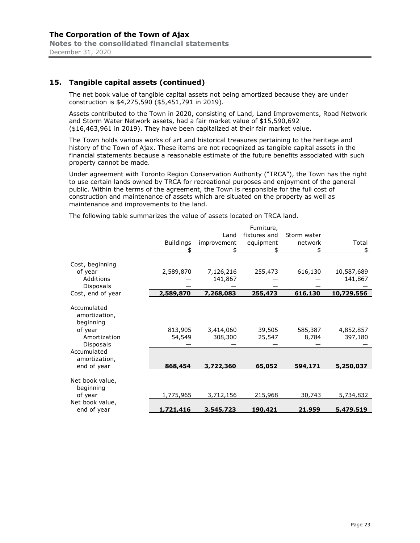# **15. Tangible capital assets (continued)**

The net book value of tangible capital assets not being amortized because they are under construction is \$4,275,590 (\$5,451,791 in 2019).

Assets contributed to the Town in 2020, consisting of Land, Land Improvements, Road Network and Storm Water Network assets, had a fair market value of \$15,590,692 (\$16,463,961 in 2019). They have been capitalized at their fair market value.

The Town holds various works of art and historical treasures pertaining to the heritage and history of the Town of Ajax. These items are not recognized as tangible capital assets in the financial statements because a reasonable estimate of the future benefits associated with such property cannot be made.

Under agreement with Toronto Region Conservation Authority ("TRCA"), the Town has the right to use certain lands owned by TRCA for recreational purposes and enjoyment of the general public. Within the terms of the agreement, the Town is responsible for the full cost of construction and maintenance of assets which are situated on the property as well as maintenance and improvements to the land.

The following table summarizes the value of assets located on TRCA land.

|                                           |                  | Land        | fixtures and | Storm water |            |  |
|-------------------------------------------|------------------|-------------|--------------|-------------|------------|--|
|                                           | <b>Buildings</b> | improvement | equipment    | network     | Total      |  |
|                                           |                  |             |              |             | \$         |  |
|                                           |                  |             |              |             |            |  |
| Cost, beginning                           |                  |             |              |             |            |  |
| of year                                   | 2,589,870        | 7,126,216   | 255,473      | 616,130     | 10,587,689 |  |
| Additions                                 |                  | 141,867     |              |             | 141,867    |  |
| Disposals                                 |                  |             |              |             |            |  |
| Cost, end of year                         | 2,589,870        | 7,268,083   | 255,473      | 616,130     | 10,729,556 |  |
|                                           |                  |             |              |             |            |  |
| Accumulated<br>amortization,<br>beginning |                  |             |              |             |            |  |
| of year                                   | 813,905          | 3,414,060   | 39,505       | 585,387     | 4,852,857  |  |
| Amortization                              | 54,549           | 308,300     | 25,547       | 8,784       | 397,180    |  |
| Disposals                                 |                  |             |              |             |            |  |
| Accumulated<br>amortization,              |                  |             |              |             |            |  |
| end of year                               | 868,454          | 3,722,360   | 65,052       | 594,171     | 5,250,037  |  |
| Net book value,<br>beginning              |                  |             |              |             |            |  |
| of year                                   | 1,775,965        | 3,712,156   | 215,968      | 30,743      | 5,734,832  |  |
| Net book value,<br>end of year            | 1,721,416        | 3,545,723   | 190,421      | 21,959      | 5,479,519  |  |
|                                           |                  |             |              |             |            |  |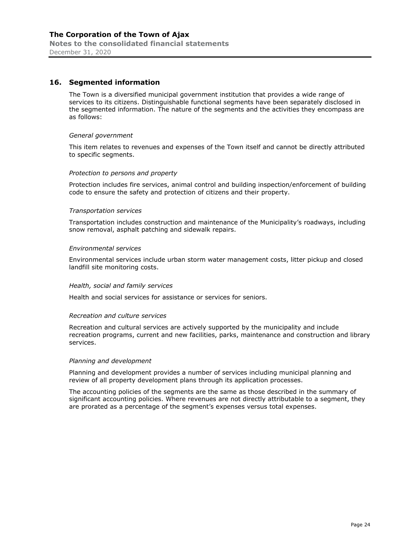**Notes to the consolidated financial statements**  December 31, 2020

#### **16. Segmented information**

The Town is a diversified municipal government institution that provides a wide range of services to its citizens. Distinguishable functional segments have been separately disclosed in the segmented information. The nature of the segments and the activities they encompass are as follows:

#### *General government*

This item relates to revenues and expenses of the Town itself and cannot be directly attributed to specific segments.

#### *Protection to persons and property*

Protection includes fire services, animal control and building inspection/enforcement of building code to ensure the safety and protection of citizens and their property.

#### *Transportation services*

Transportation includes construction and maintenance of the Municipality's roadways, including snow removal, asphalt patching and sidewalk repairs.

#### *Environmental services*

Environmental services include urban storm water management costs, litter pickup and closed landfill site monitoring costs.

#### *Health, social and family services*

Health and social services for assistance or services for seniors.

#### *Recreation and culture services*

Recreation and cultural services are actively supported by the municipality and include recreation programs, current and new facilities, parks, maintenance and construction and library services.

#### *Planning and development*

Planning and development provides a number of services including municipal planning and review of all property development plans through its application processes.

The accounting policies of the segments are the same as those described in the summary of significant accounting policies. Where revenues are not directly attributable to a segment, they are prorated as a percentage of the segment's expenses versus total expenses.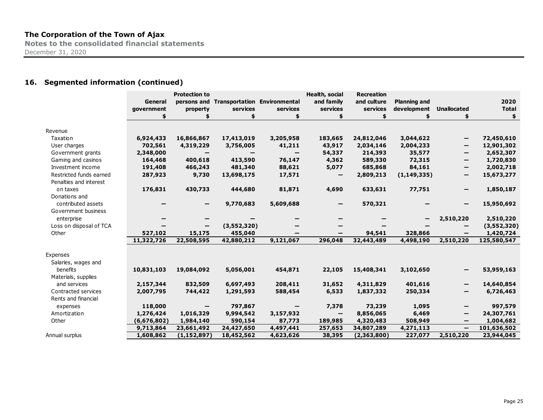**Notes to the consolidated financial statements**  December 31, 2020

# **16. Segmented information (continued)**

|                         |             | <b>Protection to</b> |                                          |           | Health, social | <b>Recreation</b> |                     |                          |              |
|-------------------------|-------------|----------------------|------------------------------------------|-----------|----------------|-------------------|---------------------|--------------------------|--------------|
|                         | General     |                      | persons and Transportation Environmental |           | and family     | and culture       | <b>Planning and</b> |                          | 2020         |
|                         | government  | property             | services                                 | services  | services       | services          | development         | <b>Unallocated</b>       | <b>Total</b> |
|                         |             |                      |                                          |           |                |                   |                     |                          | \$           |
| Revenue                 |             |                      |                                          |           |                |                   |                     |                          |              |
| Taxation                | 6,924,433   | 16,866,867           | 17,413,019                               | 3,205,958 | 183,665        | 24,812,046        | 3,044,622           | -                        | 72,450,610   |
| User charges            | 702,561     | 4,319,229            | 3,756,005                                | 41,211    | 43,917         | 2,034,146         | 2,004,233           | $\overline{\phantom{m}}$ | 12,901,302   |
| Government grants       | 2,348,000   |                      |                                          | —         | 54,337         | 214,393           | 35,577              | $\overline{\phantom{m}}$ | 2,652,307    |
| Gaming and casinos      | 164,468     | 400,618              | 413,590                                  | 76,147    | 4,362          | 589,330           | 72,315              | —                        | 1,720,830    |
| Investment income       | 191,408     | 466,243              | 481,340                                  | 88,621    | 5,077          | 685,868           | 84,161              | —                        | 2,002,718    |
| Restricted funds earned | 287,923     | 9,730                | 13,698,175                               | 17,571    |                | 2,809,213         | (1, 149, 335)       | —                        | 15,673,277   |
| Penalties and interest  |             |                      |                                          |           |                |                   |                     |                          |              |
| on taxes                | 176,831     | 430,733              | 444,680                                  | 81,871    | 4,690          | 633,631           | 77,751              |                          | 1,850,187    |
| Donations and           |             |                      |                                          |           |                |                   |                     |                          |              |
| contributed assets      |             |                      | 9,770,683                                | 5,609,688 |                | 570,321           |                     | —                        | 15,950,692   |
| Government business     |             |                      |                                          |           |                |                   |                     |                          |              |
| enterprise              |             |                      |                                          |           |                |                   | —                   | 2,510,220                | 2,510,220    |
| Loss on disposal of TCA |             |                      | (3,552,320)                              |           |                |                   |                     |                          | (3,552,320)  |
| Other                   | 527,102     | 15,175               | 455,040                                  |           |                | 94,541            | 328,866             |                          | 1,420,724    |
|                         | 11,322,726  | 22,508,595           | 42,880,212                               | 9,121,067 | 296,048        | 32,443,489        | 4,498,190           | 2,510,220                | 125,580,547  |
| Expenses                |             |                      |                                          |           |                |                   |                     |                          |              |
| Salaries, wages and     |             |                      |                                          |           |                |                   |                     |                          |              |
| benefits                | 10,831,103  | 19,084,092           | 5,056,001                                | 454,871   | 22,105         | 15,408,341        | 3,102,650           | —                        | 53,959,163   |
| Materials, supplies     |             |                      |                                          |           |                |                   |                     |                          |              |
| and services            | 2,157,344   | 832,509              | 6,697,493                                | 208,411   | 31,652         | 4,311,829         | 401,616             | $\qquad \qquad$          | 14,640,854   |
| Contracted services     | 2,007,795   | 744,422              | 1,291,593                                | 588,454   | 6,533          | 1,837,332         | 250,334             |                          | 6,726,463    |
| Rents and financial     |             |                      |                                          |           |                |                   |                     |                          |              |
| expenses                | 118,000     |                      | 797,867                                  |           | 7,378          | 73,239            | 1,095               | -                        | 997,579      |
| Amortization            | 1,276,424   | 1,016,329            | 9,994,542                                | 3,157,932 |                | 8,856,065         | 6,469               | $\overline{\phantom{m}}$ | 24,307,761   |
| Other                   | (6,676,802) | 1,984,140            | 590,154                                  | 87,773    | 189,985        | 4,320,483         | 508,949             | —                        | 1,004,682    |
|                         | 9,713,864   | 23,661,492           | 24,427,650                               | 4,497,441 | 257,653        | 34,807,289        | 4,271,113           | $\overline{\phantom{m}}$ | 101,636,502  |
| Annual surplus          | 1,608,862   | (1, 152, 897)        | 18,452,562                               | 4,623,626 | 38,395         | (2,363,800)       | 227,077             | 2,510,220                | 23,944,045   |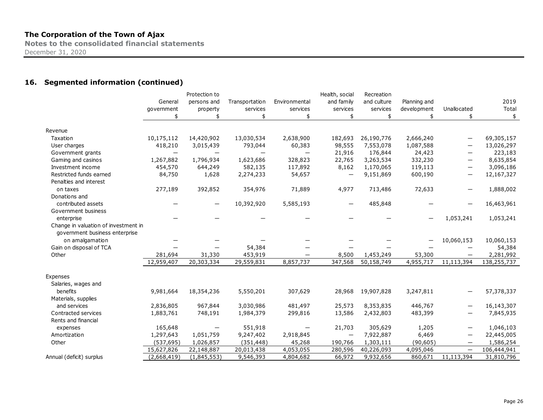**Notes to the consolidated financial statements**  December 31, 2020

# **16. Segmented information (continued)**

|                                      |             | Protection to            |                |                   | Health, social           | Recreation  |              |                          |             |
|--------------------------------------|-------------|--------------------------|----------------|-------------------|--------------------------|-------------|--------------|--------------------------|-------------|
|                                      | General     | persons and              | Transportation | Environmental     | and family               | and culture | Planning and |                          | 2019        |
|                                      | government  | property                 | services       | services          | services                 | services    | development  | Unallocated              | Total       |
|                                      | \$          | \$                       | \$             | \$                | \$                       | \$          | \$           | \$                       | \$          |
| Revenue                              |             |                          |                |                   |                          |             |              |                          |             |
| Taxation                             | 10,175,112  | 14,420,902               | 13,030,534     | 2,638,900         | 182,693                  | 26,190,776  | 2,666,240    |                          | 69,305,157  |
| User charges                         | 418,210     | 3,015,439                | 793,044        | 60,383            | 98,555                   | 7,553,078   | 1,087,588    |                          | 13,026,297  |
| Government grants                    |             |                          |                |                   | 21,916                   | 176,844     | 24,423       |                          | 223,183     |
| Gaming and casinos                   | 1,267,882   | 1,796,934                | 1,623,686      | 328,823           | 22,765                   | 3,263,534   | 332,230      |                          | 8,635,854   |
| Investment income                    | 454,570     | 644,249                  | 582,135        | 117,892           | 8,162                    | 1,170,065   | 119,113      |                          | 3,096,186   |
| Restricted funds earned              | 84,750      | 1,628                    | 2,274,233      | 54,657            | $\overline{\phantom{0}}$ | 9,151,869   | 600,190      | $\qquad \qquad -$        | 12,167,327  |
| Penalties and interest               |             |                          |                |                   |                          |             |              |                          |             |
| on taxes                             | 277,189     | 392,852                  | 354,976        | 71,889            | 4,977                    | 713,486     | 72,633       |                          | 1,888,002   |
| Donations and                        |             |                          |                |                   |                          |             |              |                          |             |
| contributed assets                   |             |                          | 10,392,920     | 5,585,193         |                          | 485,848     |              |                          | 16,463,961  |
| Government business                  |             |                          |                |                   |                          |             |              |                          |             |
| enterprise                           |             |                          |                |                   |                          |             |              | 1,053,241                | 1,053,241   |
| Change in valuation of investment in |             |                          |                |                   |                          |             |              |                          |             |
| government business enterprise       |             |                          |                |                   |                          |             |              |                          |             |
| on amalgamation                      |             |                          |                |                   |                          |             |              | 10,060,153               | 10,060,153  |
| Gain on disposal of TCA              |             |                          | 54,384         |                   |                          |             |              |                          | 54,384      |
| Other                                | 281,694     | 31,330                   | 453,919        |                   | 8,500                    | 1,453,249   | 53,300       |                          | 2,281,992   |
|                                      | 12,959,407  | 20,303,334               | 29,559,831     | 8,857,737         | 347,568                  | 50,158,749  | 4,955,717    | 11,113,394               | 138,255,737 |
|                                      |             |                          |                |                   |                          |             |              |                          |             |
| Expenses                             |             |                          |                |                   |                          |             |              |                          |             |
| Salaries, wages and                  |             |                          |                |                   |                          |             |              |                          |             |
| benefits                             | 9,981,664   | 18,354,236               | 5,550,201      | 307,629           | 28,968                   | 19,907,828  | 3,247,811    |                          | 57,378,337  |
| Materials, supplies                  |             |                          |                |                   |                          |             |              |                          |             |
| and services                         | 2,836,805   | 967,844                  | 3,030,986      | 481,497           | 25,573                   | 8,353,835   | 446,767      |                          | 16,143,307  |
| Contracted services                  | 1,883,761   | 748,191                  | 1,984,379      | 299,816           | 13,586                   | 2,432,803   | 483,399      |                          | 7,845,935   |
| Rents and financial                  |             |                          |                |                   |                          |             |              |                          |             |
| expenses                             | 165,648     | $\overline{\phantom{0}}$ | 551,918        | $\qquad \qquad -$ | 21,703                   | 305,629     | 1,205        | —                        | 1,046,103   |
| Amortization                         | 1,297,643   | 1,051,759                | 9,247,402      | 2,918,845         |                          | 7,922,887   | 6,469        | $\qquad \qquad -$        | 22,445,005  |
| Other                                | (537, 695)  | 1,026,857                | (351, 448)     | 45,268            | 190,766                  | 1,303,111   | (90, 605)    | —                        | 1,586,254   |
|                                      | 15,627,826  | 22,148,887               | 20,013,438     | 4,053,055         | 280,596                  | 40,226,093  | 4,095,046    | $\overline{\phantom{0}}$ | 106,444,941 |
| Annual (deficit) surplus             | (2,668,419) | (1,845,553)              | 9,546,393      | 4,804,682         | 66,972                   | 9,932,656   | 860,671      | 11,113,394               | 31,810,796  |